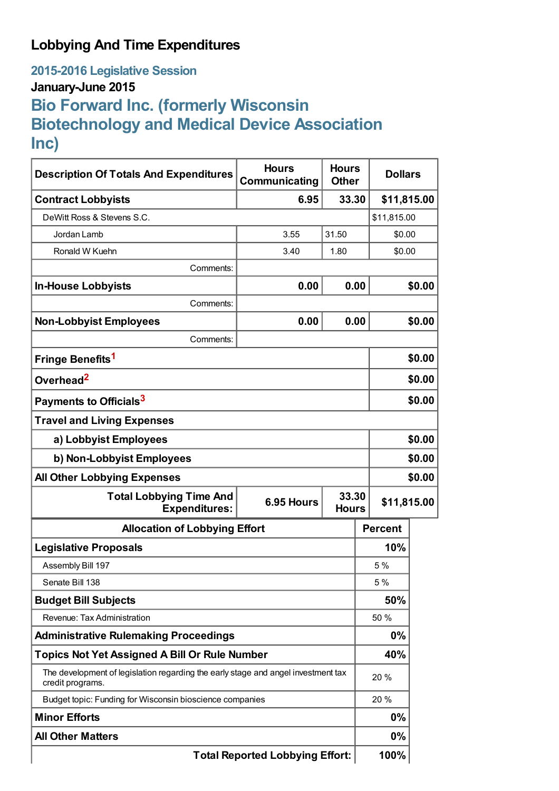## **Lobbying And Time Expenditures**

**2015-2016 Legislative Session**

### **January-June 2015**

# **Bio Forward Inc. (formerly Wisconsin Biotechnology and Medical Device Association Inc)**

| <b>Description Of Totals And Expenditures</b>                                                         | <b>Hours</b><br>Communicating | <b>Hours</b><br><b>Other</b> | <b>Dollars</b> |        |  |
|-------------------------------------------------------------------------------------------------------|-------------------------------|------------------------------|----------------|--------|--|
| <b>Contract Lobbyists</b>                                                                             | 6.95                          | 33.30                        | \$11,815.00    |        |  |
| DeWitt Ross & Stevens S.C.                                                                            |                               |                              | \$11,815.00    |        |  |
| Jordan Lamb                                                                                           | 3.55                          | 31.50                        |                | \$0.00 |  |
| Ronald W Kuehn                                                                                        | 3.40                          | 1.80                         |                | \$0.00 |  |
| Comments:                                                                                             |                               |                              |                |        |  |
| <b>In-House Lobbyists</b>                                                                             | 0.00                          | 0.00                         |                | \$0.00 |  |
| Comments:                                                                                             |                               |                              |                |        |  |
| <b>Non-Lobbyist Employees</b>                                                                         | 0.00                          | 0.00                         |                | \$0.00 |  |
| Comments:                                                                                             |                               |                              |                |        |  |
| Fringe Benefits <sup>1</sup>                                                                          |                               |                              |                | \$0.00 |  |
| Overhead <sup>2</sup>                                                                                 |                               |                              |                | \$0.00 |  |
| Payments to Officials <sup>3</sup>                                                                    |                               |                              |                | \$0.00 |  |
| <b>Travel and Living Expenses</b>                                                                     |                               |                              |                |        |  |
| a) Lobbyist Employees                                                                                 |                               |                              |                | \$0.00 |  |
| b) Non-Lobbyist Employees                                                                             |                               |                              |                | \$0.00 |  |
| <b>All Other Lobbying Expenses</b>                                                                    |                               |                              |                | \$0.00 |  |
| <b>Total Lobbying Time And</b><br>6.95 Hours<br><b>Expenditures:</b>                                  |                               | 33.30<br><b>Hours</b>        | \$11,815.00    |        |  |
| <b>Allocation of Lobbying Effort</b>                                                                  |                               |                              | <b>Percent</b> |        |  |
| <b>Legislative Proposals</b>                                                                          |                               |                              | 10%            |        |  |
| Assembly Bill 197                                                                                     |                               |                              | 5 %            |        |  |
| Senate Bill 138                                                                                       |                               |                              | 5 %            |        |  |
| <b>Budget Bill Subjects</b>                                                                           |                               |                              | 50%            |        |  |
| Revenue: Tax Administration                                                                           |                               |                              | 50 %           |        |  |
| <b>Administrative Rulemaking Proceedings</b>                                                          |                               |                              | 0%             |        |  |
| <b>Topics Not Yet Assigned A Bill Or Rule Number</b>                                                  |                               |                              | 40%            |        |  |
| The development of legislation regarding the early stage and angel investment tax<br>credit programs. |                               |                              | 20 %           |        |  |
| Budget topic: Funding for Wisconsin bioscience companies                                              |                               |                              | 20 %           |        |  |
| <b>Minor Efforts</b>                                                                                  |                               | 0%                           |                |        |  |
| <b>All Other Matters</b>                                                                              |                               |                              | 0%             |        |  |
| <b>Total Reported Lobbying Effort:</b>                                                                |                               |                              | 100%           |        |  |